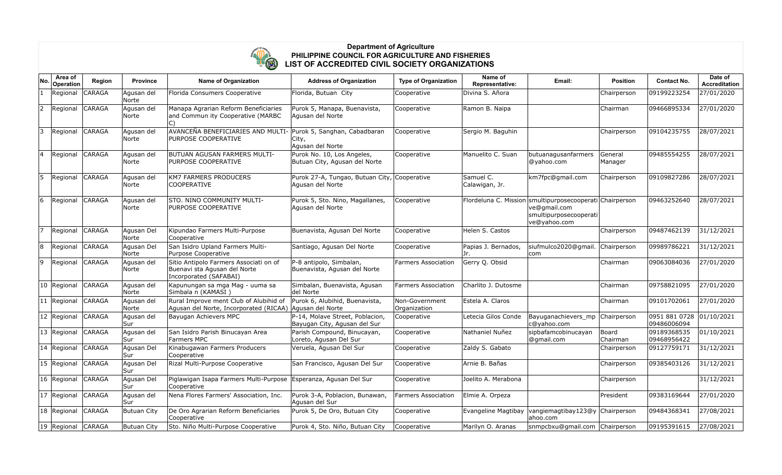

## **Department of Agriculture PHILIPPINE COUNCIL FOR AGRICULTURE AND FISHERIES LIST OF ACCREDITED CIVIL SOCIETY ORGANIZATIONS**

| No                       | Area of<br>Operation | Region        | <b>Province</b>     | <b>Name of Organization</b>                                                                       | <b>Address of Organization</b>                                   | <b>Type of Organization</b>    | Name of<br>Representative:  | Email:                                                                                                             | <b>Position</b>    | <b>Contact No.</b>           | Date of<br>Accreditation |
|--------------------------|----------------------|---------------|---------------------|---------------------------------------------------------------------------------------------------|------------------------------------------------------------------|--------------------------------|-----------------------------|--------------------------------------------------------------------------------------------------------------------|--------------------|------------------------------|--------------------------|
|                          | Regional             | <b>CARAGA</b> | Agusan del<br>Norte | Florida Consumers Cooperative                                                                     | Florida, Butuan City                                             | Cooperative                    | Divina S. Añora             |                                                                                                                    | Chairperson        | 09199223254                  | 27/01/2020               |
| 2                        | Regional             | <b>CARAGA</b> | Agusan del<br>Norte | Manapa Agrarian Reform Beneficiaries<br>and Commun ity Cooperative (MARBC                         | Purok 5, Manapa, Buenavista,<br>Agusan del Norte                 | Cooperative                    | Ramon B. Naipa              |                                                                                                                    | Chairman           | 09466895334                  | 27/01/2020               |
| 3                        | Regional             | <b>CARAGA</b> | Agusan del<br>Norte | AVANCEÑA BENEFICIARIES AND MULTI<br>PURPOSE COOPERATIVE                                           | Purok 5, Sanghan, Cabadbaran<br>City,<br>Agusan del Norte        | Cooperative                    | Sergio M. Baguhin           |                                                                                                                    | Chairperson        | 09104235755                  | 28/07/2021               |
| $\overline{\mathcal{L}}$ | Regional             | <b>CARAGA</b> | Agusan del<br>Norte | BUTUAN AGUSAN FARMERS MULTI-<br>PURPOSE COOPERATIVE                                               | Purok No. 10, Los Angeles,<br>Butuan City, Agusan del Norte      | Cooperative                    | Manuelito C. Suan           | butuanagusanfarmers<br>@yahoo.com                                                                                  | General<br>Manager | 09485554255                  | 28/07/2021               |
| 5                        | Regional             | <b>CARAGA</b> | Agusan del<br>Norte | <b>KM7 FARMERS PRODUCERS</b><br><b>COOPERATIVE</b>                                                | Purok 27-A, Tungao, Butuan City, Cooperative<br>Agusan del Norte |                                | Samuel C.<br>Calawigan, Jr. | km7fpc@gmail.com                                                                                                   | Chairperson        | 09109827286                  | 28/07/2021               |
| 6                        | Regional             | CARAGA        | Agusan del<br>Norte | STO. NINO COMMUNITY MULTI-<br>PURPOSE COOPERATIVE                                                 | Purok 5, Sto. Nino, Magallanes,<br>Agusan del Norte              | Cooperative                    |                             | Flordeluna C. Mission smultipurposecooperati Chairperson<br>ve@gmail.com<br>smultipurposecooperati<br>ve@yahoo.com |                    | 09463252640                  | 28/07/2021               |
| 7                        | Regional             | <b>CARAGA</b> | Agusan Del<br>Norte | Kipundao Farmers Multi-Purpose<br>Cooperative                                                     | Buenavista, Agusan Del Norte                                     | Cooperative                    | Helen S. Castos             |                                                                                                                    | Chairperson        | 09487462139                  | 31/12/2021               |
| 8                        | Regional             | <b>CARAGA</b> | Agusan Del<br>Norte | San Isidro Upland Farmers Multi-<br>Purpose Cooperative                                           | Santiago, Agusan Del Norte                                       | Cooperative                    | Papias J. Bernados,<br>Jr.  | siufmulco2020@gmail.<br>com                                                                                        | Chairperson        | 09989786221                  | 31/12/2021               |
| 9                        | Regional             | CARAGA        | Agusan del<br>Norte | Sitio Antipolo Farmers Associati on of<br>Buenavi sta Agusan del Norte<br>Incorporated (SAFABAI)  | P-8 antipolo, Simbalan,<br>Buenavista, Agusan del Norte          | Farmers Association            | Gerry Q. Obsid              |                                                                                                                    | Chairman           | 09063084036                  | 27/01/2020               |
|                          | 10 Regional          | <b>CARAGA</b> | Agusan del<br>Norte | Kapunungan sa mga Mag - uuma sa<br>Simbala n (KAMASI)                                             | Simbalan, Buenavista, Agusan<br>ldel Norte                       | <b>Farmers Association</b>     | Charlito J. Dutosme         |                                                                                                                    | Chairman           | 09758821095                  | 27/01/2020               |
|                          | 11 Regional          | CARAGA        | Agusan del<br>Norte | Rural Improve ment Club of Alubihid of<br>Agusan del Norte, Incorporated (RICAA) Agusan del Norte | Purok 6, Alubihid, Buenavista,                                   | Non-Government<br>Organization | Estela A. Claros            |                                                                                                                    | Chairman           | 09101702061                  | 27/01/2020               |
|                          | 12 Regional          | <b>CARAGA</b> | Agusan del<br>Sur   | Bayugan Achievers MPC                                                                             | P-14, Molave Street, Poblacion,<br>Bayugan City, Agusan del Sur  | Cooperative                    | Letecia Gilos Conde         | Bayuganachievers_mp<br>c@yahoo.com                                                                                 | Chairperson        | 0951 881 0728<br>09486006094 | 01/10/2021               |
|                          | 13 Regional          | <b>CARAGA</b> | Agusan del<br>Sur   | San Isidro Parish Binucayan Area<br>Farmers MPC                                                   | Parish Compound, Binucayan,<br>Loreto, Agusan Del Sur            | Cooperative                    | Nathaniel Nuñez             | sipbafamcobinucayan<br>@qmail.com                                                                                  | Board<br>Chairman  | 09189368535<br>09468956422   | 01/10/2021               |
|                          | 14 Regional          | <b>CARAGA</b> | Agusan Del<br>Sur   | Kinabugawan Farmers Producers<br>Cooperative                                                      | Veruela, Agusan Del Sur                                          | Cooperative                    | Zaldy S. Gabato             |                                                                                                                    | Chairperson        | 09127759171                  | 31/12/2021               |
|                          | 15 Regional          | <b>CARAGA</b> | Agusan Del<br>Sur   | Rizal Multi-Purpose Cooperative                                                                   | San Francisco, Agusan Del Sur                                    | Cooperative                    | Arnie B. Bañas              |                                                                                                                    | Chairperson        | 09385403126                  | 31/12/2021               |
|                          | 16 Regional          | <b>CARAGA</b> | Agusan Del<br>Sur   | Piglawigan Isapa Farmers Multi-Purpose<br>Cooperative                                             | Esperanza, Agusan Del Sur                                        | Cooperative                    | Joelito A. Merabona         |                                                                                                                    | Chairperson        |                              | 31/12/2021               |
|                          | 17 Regional          | <b>CARAGA</b> | Agusan del<br>Sur   | Nena Flores Farmers' Association, Inc.                                                            | Purok 3-A, Poblacion, Bunawan,<br>Aausan del Sur                 | <b>Farmers Association</b>     | Elmie A. Orpeza             |                                                                                                                    | President          | 09383169644                  | 27/01/2020               |
|                          | 18 Regional          | <b>CARAGA</b> | <b>Butuan City</b>  | De Oro Agrarian Reform Beneficiaries<br>Cooperative                                               | Purok 5, De Oro, Butuan City                                     | Cooperative                    | Evangeline Magtibay         | vangiemagtibay123@y<br>lahoo.com                                                                                   | Chairperson        | 09484368341                  | 27/08/2021               |
|                          | 19 Regional          | <b>CARAGA</b> | <b>Butuan City</b>  | Sto. Niño Multi-Purpose Cooperative                                                               | Purok 4, Sto. Niño, Butuan City                                  | Cooperative                    | Marilyn O. Aranas           | snmpcbxu@gmail.com Chairperson                                                                                     |                    | 09195391615                  | 27/08/2021               |